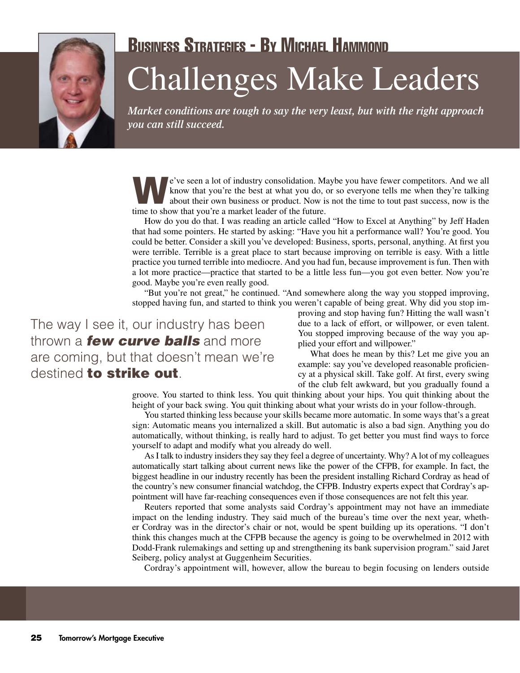

## Business Strategies - By Michael Hammond Challenges Make Leaders

*Market conditions are tough to say the very least, but with the right approach you can still succeed.*

We've seen a lot of industry consolidation. Maybe you have fewer competitors. And we all know that you're the best at what you do, or so everyone tells me when they're talking about their own business or product. Now is no know that you're the best at what you do, or so everyone tells me when they're talking time to show that you're a market leader of the future.

How do you do that. I was reading an article called "How to Excel at Anything" by Jeff Haden that had some pointers. He started by asking: "Have you hit a performance wall? You're good. You could be better. Consider a skill you've developed: Business, sports, personal, anything. At first you were terrible. Terrible is a great place to start because improving on terrible is easy. With a little practice you turned terrible into mediocre. And you had fun, because improvement is fun. Then with a lot more practice—practice that started to be a little less fun—you got even better. Now you're good. Maybe you're even really good.

"But you're not great," he continued. "And somewhere along the way you stopped improving, stopped having fun, and started to think you weren't capable of being great. Why did you stop im-

The way I see it, our industry has been thrown a *few curve balls* and more are coming, but that doesn't mean we're destined to strike out.

proving and stop having fun? Hitting the wall wasn't due to a lack of effort, or willpower, or even talent. You stopped improving because of the way you applied your effort and willpower."

What does he mean by this? Let me give you an example: say you've developed reasonable proficiency at a physical skill. Take golf. At first, every swing of the club felt awkward, but you gradually found a

groove. You started to think less. You quit thinking about your hips. You quit thinking about the height of your back swing. You quit thinking about what your wrists do in your follow-through.

You started thinking less because your skills became more automatic. In some ways that's a great sign: Automatic means you internalized a skill. But automatic is also a bad sign. Anything you do automatically, without thinking, is really hard to adjust. To get better you must find ways to force yourself to adapt and modify what you already do well.

As I talk to industry insiders they say they feel a degree of uncertainty. Why? A lot of my colleagues automatically start talking about current news like the power of the CFPB, for example. In fact, the biggest headline in our industry recently has been the president installing Richard Cordray as head of the country's new consumer financial watchdog, the CFPB. Industry experts expect that Cordray's appointment will have far-reaching consequences even if those consequences are not felt this year.

Reuters reported that some analysts said Cordray's appointment may not have an immediate impact on the lending industry. They said much of the bureau's time over the next year, whether Cordray was in the director's chair or not, would be spent building up its operations. "I don't think this changes much at the CFPB because the agency is going to be overwhelmed in 2012 with Dodd-Frank rulemakings and setting up and strengthening its bank supervision program." said Jaret Seiberg, policy analyst at Guggenheim Securities.

Cordray's appointment will, however, allow the bureau to begin focusing on lenders outside